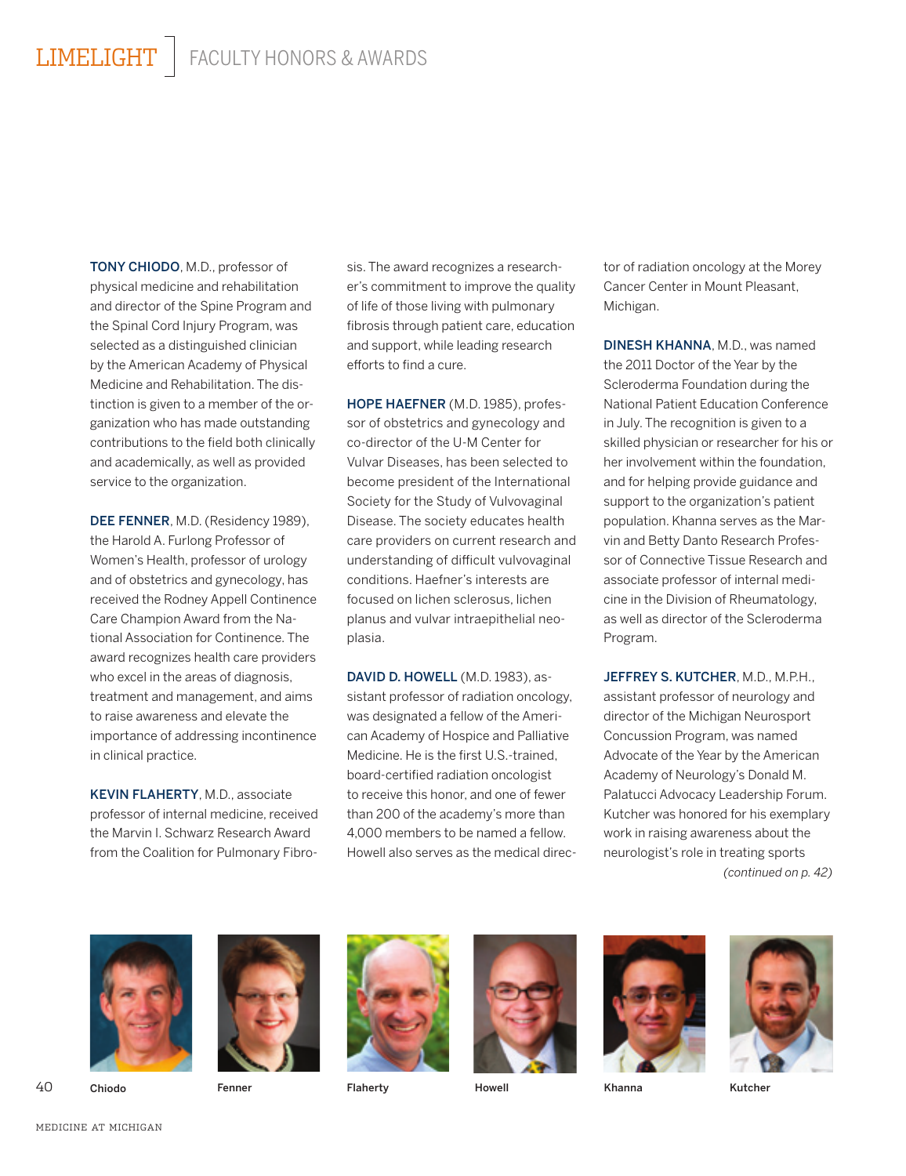TONY CHIODO, M.D., professor of physical medicine and rehabilitation and director of the Spine Program and the Spinal Cord Injury Program, was selected as a distinguished clinician by the American Academy of Physical Medicine and Rehabilitation. The distinction is given to a member of the organization who has made outstanding contributions to the field both clinically and academically, as well as provided service to the organization.

DEE FENNER, M.D. (Residency 1989), the Harold A. Furlong Professor of Women's Health, professor of urology and of obstetrics and gynecology, has received the Rodney Appell Continence Care Champion Award from the National Association for Continence. The award recognizes health care providers who excel in the areas of diagnosis, treatment and management, and aims to raise awareness and elevate the importance of addressing incontinence in clinical practice.

KEVIN FLAHERTY, M.D., associate professor of internal medicine, received the Marvin I. Schwarz Research Award from the Coalition for Pulmonary Fibro-

sis. The award recognizes a researcher's commitment to improve the quality of life of those living with pulmonary fibrosis through patient care, education and support, while leading research efforts to find a cure.

HOPE HAEFNER (M.D. 1985), professor of obstetrics and gynecology and co-director of the U-M Center for Vulvar Diseases, has been selected to become president of the International Society for the Study of Vulvovaginal Disease. The society educates health care providers on current research and understanding of difficult vulvovaginal conditions. Haefner's interests are focused on lichen sclerosus, lichen planus and vulvar intraepithelial neoplasia.

DAVID D. HOWELL (M.D. 1983), assistant professor of radiation oncology, was designated a fellow of the American Academy of Hospice and Palliative Medicine. He is the first U.S.-trained, board-certified radiation oncologist to receive this honor, and one of fewer than 200 of the academy's more than 4,000 members to be named a fellow. Howell also serves as the medical director of radiation oncology at the Morey Cancer Center in Mount Pleasant, Michigan.

DINESH KHANNA, M.D., was named the 2011 Doctor of the Year by the Scleroderma Foundation during the National Patient Education Conference in July. The recognition is given to a skilled physician or researcher for his or her involvement within the foundation, and for helping provide guidance and support to the organization's patient population. Khanna serves as the Marvin and Betty Danto Research Professor of Connective Tissue Research and associate professor of internal medicine in the Division of Rheumatology, as well as director of the Scleroderma Program.

JEFFREY S. KUTCHER, M.D., M.P.H., assistant professor of neurology and director of the Michigan Neurosport Concussion Program, was named Advocate of the Year by the American Academy of Neurology's Donald M. Palatucci Advocacy Leadership Forum. Kutcher was honored for his exemplary work in raising awareness about the neurologist's role in treating sports *(continued on p. 42)*

















40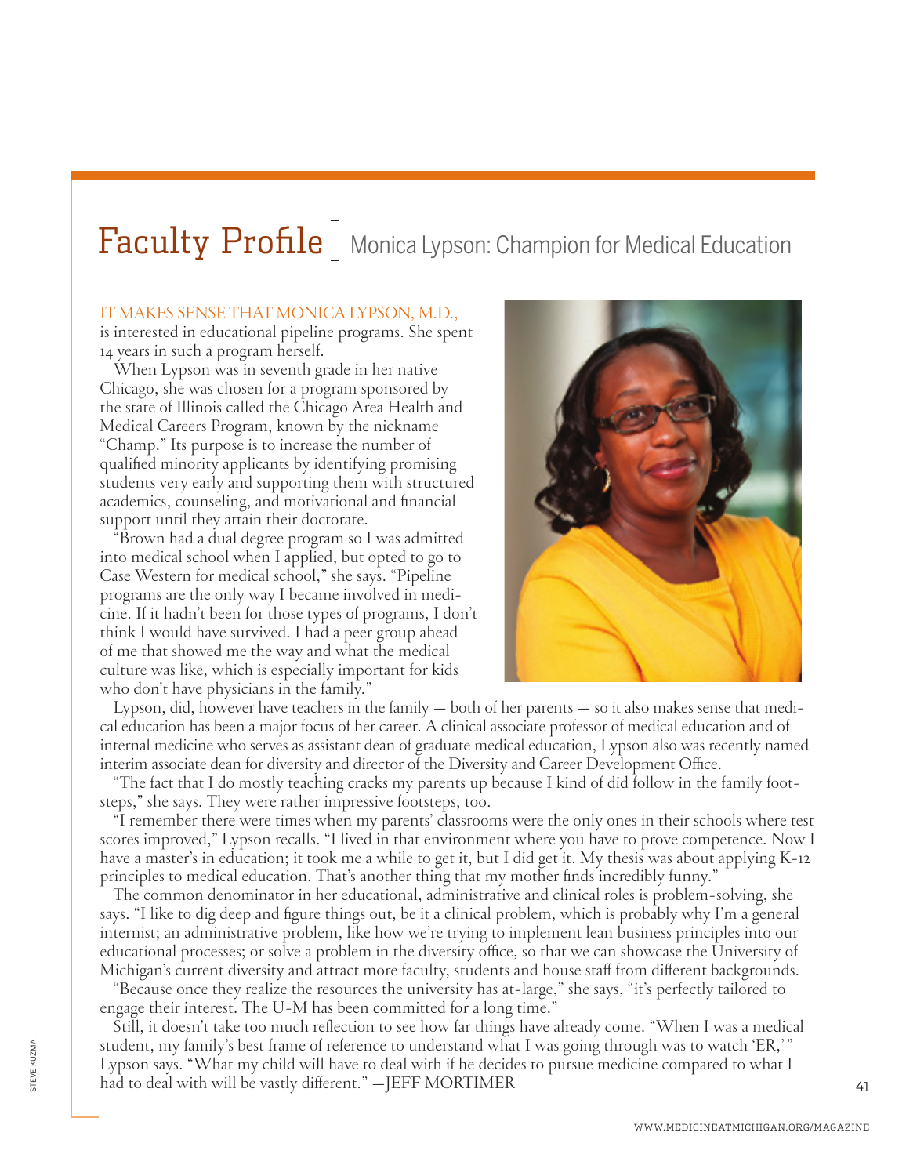## $\frac{Faculty}{\text{Problem}}$  Monica Lypson: Champion for Medical Education

## IT MAKES SENSE THAT MONICA LYPSON, M.D.,

is interested in educational pipeline programs. She spent 14 years in such a program herself.

When Lypson was in seventh grade in her native Chicago, she was chosen for a program sponsored by the state of Illinois called the Chicago Area Health and Medical Careers Program, known by the nickname "Champ." Its purpose is to increase the number of qualified minority applicants by identifying promising students very early and supporting them with structured academics, counseling, and motivational and financial support until they attain their doctorate.

"Brown had a dual degree program so I was admitted into medical school when I applied, but opted to go to Case Western for medical school," she says. "Pipeline programs are the only way I became involved in medicine. If it hadn't been for those types of programs, I don't think I would have survived. I had a peer group ahead of me that showed me the way and what the medical culture was like, which is especially important for kids who don't have physicians in the family."



Lypson, did, however have teachers in the family — both of her parents — so it also makes sense that medical education has been a major focus of her career. A clinical associate professor of medical education and of internal medicine who serves as assistant dean of graduate medical education, Lypson also was recently named interim associate dean for diversity and director of the Diversity and Career Development Office.

"The fact that I do mostly teaching cracks my parents up because I kind of did follow in the family footsteps," she says. They were rather impressive footsteps, too.

"I remember there were times when my parents' classrooms were the only ones in their schools where test scores improved," Lypson recalls. "I lived in that environment where you have to prove competence. Now I have a master's in education; it took me a while to get it, but I did get it. My thesis was about applying K-12 principles to medical education. That's another thing that my mother finds incredibly funny."

The common denominator in her educational, administrative and clinical roles is problem-solving, she says. "I like to dig deep and figure things out, be it a clinical problem, which is probably why I'm a general internist; an administrative problem, like how we're trying to implement lean business principles into our educational processes; or solve a problem in the diversity office, so that we can showcase the University of Michigan's current diversity and attract more faculty, students and house staff from different backgrounds.

"Because once they realize the resources the university has at-large," she says, "it's perfectly tailored to engage their interest. The U-M has been committed for a long time."

Still, it doesn't take too much reflection to see how far things have already come. "When I was a medical student, my family's best frame of reference to understand what I was going through was to watch 'ER,'" Lypson says. "What my child will have to deal with if he decides to pursue medicine compared to what I had to deal with will be vastly different." —JEFF MORTIMER

41